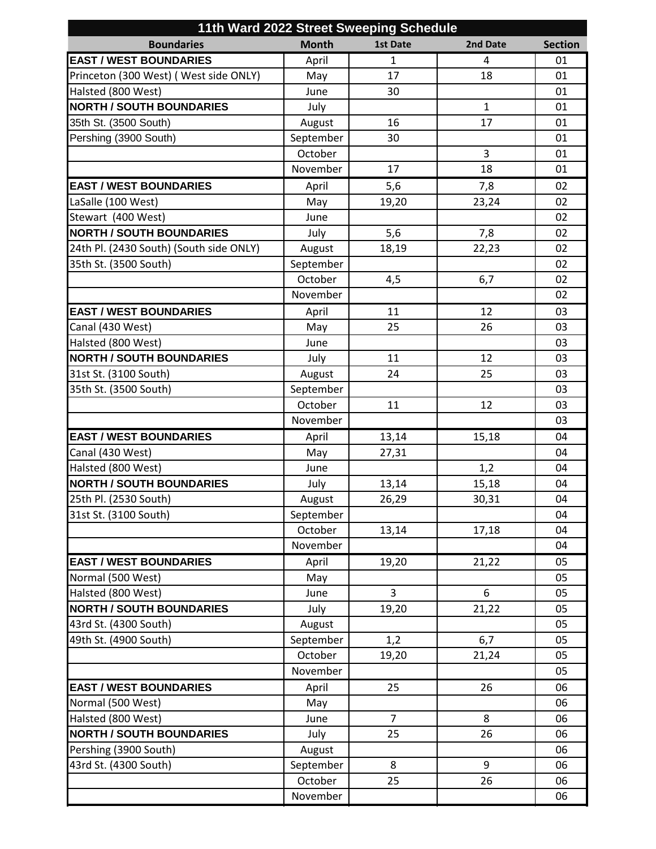| 11th Ward 2022 Street Sweeping Schedule |                     |                 |              |                |  |  |  |
|-----------------------------------------|---------------------|-----------------|--------------|----------------|--|--|--|
| <b>Boundaries</b>                       | <b>Month</b>        | <b>1st Date</b> | 2nd Date     | <b>Section</b> |  |  |  |
| <b>EAST / WEST BOUNDARIES</b>           | April               | $\mathbf{1}$    | 4            | 01             |  |  |  |
| Princeton (300 West) (West side ONLY)   | May                 | 17              | 18           | 01             |  |  |  |
| Halsted (800 West)                      | June                | 30              |              | 01             |  |  |  |
| <b>NORTH / SOUTH BOUNDARIES</b>         | July                |                 | $\mathbf{1}$ | 01             |  |  |  |
| 35th St. (3500 South)                   | August              | 16              | 17           | 01             |  |  |  |
| Pershing (3900 South)                   | September           | 30              |              | 01             |  |  |  |
|                                         | October             |                 | 3            | 01             |  |  |  |
|                                         | November            | 17              | 18           | 01             |  |  |  |
| <b>EAST / WEST BOUNDARIES</b>           | April               | 5,6             | 7,8          | 02             |  |  |  |
| LaSalle (100 West)                      | May                 | 19,20           | 23,24        | 02             |  |  |  |
| Stewart (400 West)                      | June                |                 |              | 02             |  |  |  |
| <b>NORTH / SOUTH BOUNDARIES</b>         | July                | 5,6             | 7,8          | 02             |  |  |  |
| 24th Pl. (2430 South) (South side ONLY) | August              | 18,19           | 22,23        | 02             |  |  |  |
| 35th St. (3500 South)                   | September           |                 |              | 02             |  |  |  |
|                                         | October             | 4,5             | 6,7          | 02             |  |  |  |
|                                         | November            |                 |              | 02             |  |  |  |
| <b>EAST / WEST BOUNDARIES</b>           | April               | 11              | 12           | 03             |  |  |  |
| Canal (430 West)                        | May                 | 25              | 26           | 03             |  |  |  |
| Halsted (800 West)                      | June                |                 |              | 03             |  |  |  |
| <b>NORTH / SOUTH BOUNDARIES</b>         | July                | 11              | 12           | 03             |  |  |  |
| 31st St. (3100 South)                   | August              | 24              | 25           | 03             |  |  |  |
| 35th St. (3500 South)                   | September           |                 |              | 03             |  |  |  |
|                                         | October             | 11              | 12           | 03             |  |  |  |
|                                         | November            |                 |              | 03             |  |  |  |
| <b>EAST / WEST BOUNDARIES</b>           | April               | 13,14           | 15,18        | 04             |  |  |  |
| Canal (430 West)                        | May                 | 27,31           |              | 04             |  |  |  |
| Halsted (800 West)                      | June                |                 | 1,2          | 04             |  |  |  |
| <b>NORTH / SOUTH BOUNDARIES</b>         | July                | 13,14           | 15,18        | 04             |  |  |  |
| 25th Pl. (2530 South)                   |                     | 26,29           | 30,31        | 04             |  |  |  |
| 31st St. (3100 South)                   | August<br>September |                 |              | 04             |  |  |  |
|                                         | October             | 13,14           | 17,18        | 04             |  |  |  |
|                                         | November            |                 |              | 04             |  |  |  |
| <b>EAST / WEST BOUNDARIES</b>           |                     |                 |              |                |  |  |  |
| Normal (500 West)                       | April               | 19,20           | 21,22        | 05<br>05       |  |  |  |
| Halsted (800 West)                      | May<br>June         | 3               | 6            | 05             |  |  |  |
| <b>NORTH / SOUTH BOUNDARIES</b>         |                     |                 |              | 05             |  |  |  |
|                                         | July                | 19,20           | 21,22        |                |  |  |  |
| 43rd St. (4300 South)                   | August              |                 |              | 05             |  |  |  |
| 49th St. (4900 South)                   | September           | 1,2             | 6,7          | 05             |  |  |  |
|                                         | October<br>November | 19,20           | 21,24        | 05             |  |  |  |
|                                         |                     |                 |              | 05             |  |  |  |
| <b>EAST / WEST BOUNDARIES</b>           | April               | 25              | 26           | 06             |  |  |  |
| Normal (500 West)                       | May                 |                 |              | 06             |  |  |  |
| Halsted (800 West)                      | June                | $\overline{7}$  | 8            | 06             |  |  |  |
| <b>NORTH / SOUTH BOUNDARIES</b>         | July                | 25              | 26           | 06             |  |  |  |
| Pershing (3900 South)                   | August              |                 |              | 06             |  |  |  |
| 43rd St. (4300 South)                   | September           | 8               | 9            | 06             |  |  |  |
|                                         | October             | 25              | 26           | 06             |  |  |  |
|                                         | November            |                 |              | 06             |  |  |  |